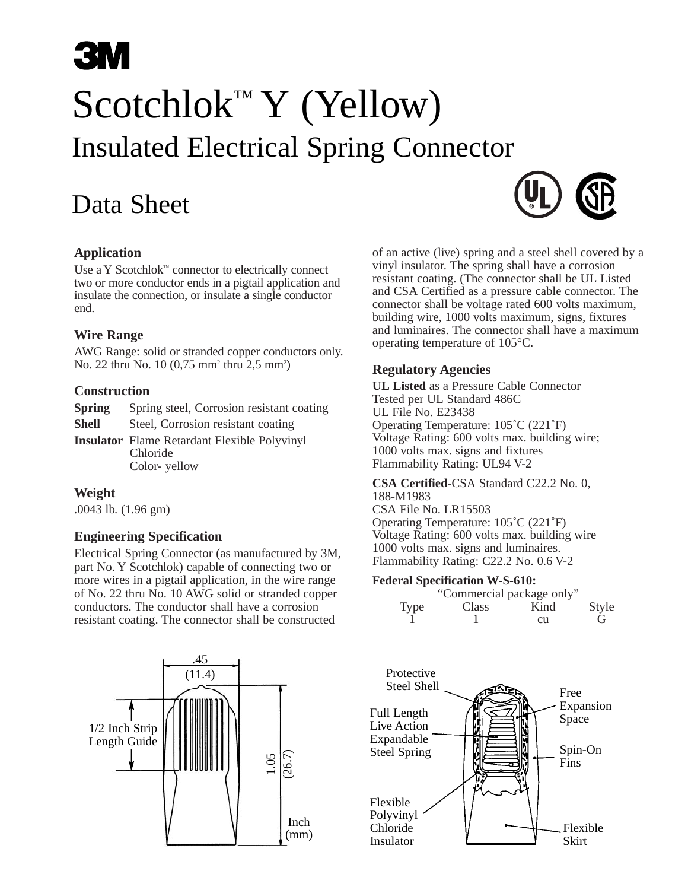## **3N** Scotchlok™ Y (Yellow) Insulated Electrical Spring Connector

## Data Sheet



#### **Application**

Use a Y Scotchlok™ connector to electrically connect two or more conductor ends in a pigtail application and insulate the connection, or insulate a single conductor end.

#### **Wire Range**

AWG Range: solid or stranded copper conductors only. No. 22 thru No. 10 (0,75 mm<sup>2</sup> thru 2,5 mm<sup>2</sup>)

#### **Construction**

| Spring | Spring steel, Corrosion resistant coating           |
|--------|-----------------------------------------------------|
| Shell  | Steel, Corrosion resistant coating                  |
|        | <b>Insulator</b> Flame Retardant Flexible Polyvinyl |
|        | Chloride                                            |
|        | Color-yellow                                        |

#### **Weight**

.0043 lb. (1.96 gm)

#### **Engineering Specification**

Electrical Spring Connector (as manufactured by 3M, part No. Y Scotchlok) capable of connecting two or more wires in a pigtail application, in the wire range of No. 22 thru No. 10 AWG solid or stranded copper conductors. The conductor shall have a corrosion resistant coating. The connector shall be constructed



of an active (live) spring and a steel shell covered by a vinyl insulator. The spring shall have a corrosion resistant coating. (The connector shall be UL Listed and CSA Certified as a pressure cable connector. The connector shall be voltage rated 600 volts maximum, building wire, 1000 volts maximum, signs, fixtures and luminaires. The connector shall have a maximum operating temperature of 105°C.

#### **Regulatory Agencies**

**UL Listed** as a Pressure Cable Connector Tested per UL Standard 486C UL File No. E23438 Operating Temperature: 105˚C (221˚F) Voltage Rating: 600 volts max. building wire; 1000 volts max. signs and fixtures Flammability Rating: UL94 V-2

**CSA Certified**-CSA Standard C22.2 No. 0, 188-M1983

CSA File No. LR15503 Operating Temperature: 105˚C (221˚F) Voltage Rating: 600 volts max. building wire 1000 volts max. signs and luminaires. Flammability Rating: C22.2 No. 0.6 V-2

#### **Federal Specification W-S-610:**

|      | "Commercial package only" |      |              |
|------|---------------------------|------|--------------|
| Type | Class                     | Kind | <b>Style</b> |
|      |                           | cп   | G,           |

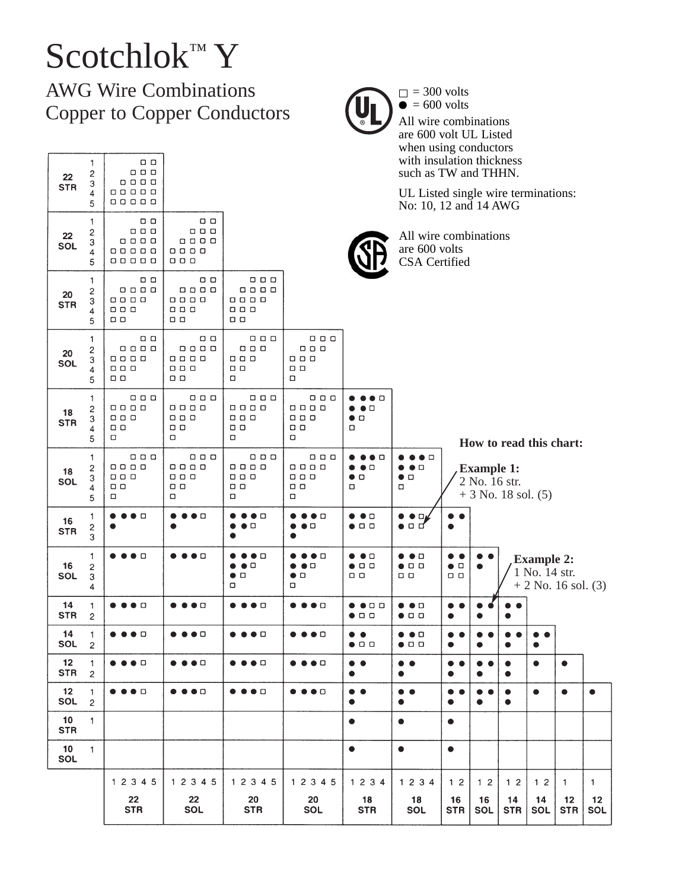# Scotchlok™ Y

AWG Wire Combinations Copper to Copper Conductors

| 22<br><b>STR</b>              | 1<br>$\overline{\mathbf{c}}$<br>3<br>4               | $\Box$<br>0 0 0<br>0 0 0 0<br>00000                                    |                                                                                                            |                                                                       |                                                                  |                                                                               | with insulation thickness<br>such as TW and THHN.<br>UL Listed single wire terminations: |                                                          |                                                                                         |                        |                                                             |                  |                          |
|-------------------------------|------------------------------------------------------|------------------------------------------------------------------------|------------------------------------------------------------------------------------------------------------|-----------------------------------------------------------------------|------------------------------------------------------------------|-------------------------------------------------------------------------------|------------------------------------------------------------------------------------------|----------------------------------------------------------|-----------------------------------------------------------------------------------------|------------------------|-------------------------------------------------------------|------------------|--------------------------|
|                               | 5                                                    | 00000                                                                  |                                                                                                            |                                                                       |                                                                  |                                                                               | No: 10, 12 and 14 AWG                                                                    |                                                          |                                                                                         |                        |                                                             |                  |                          |
| 22<br><b>SOL</b>              | 1<br>2<br>3<br>4<br>5                                | $\Box$<br>00 O<br>0000<br>00000<br>00000                               | ם ם<br><b>000</b><br>0000<br>0000<br>$\Box$ $\Box$ $\Box$                                                  |                                                                       |                                                                  |                                                                               | All wire combinations<br>are 600 volts<br>CSA Certified                                  |                                                          |                                                                                         |                        |                                                             |                  |                          |
| $20\,$<br><b>STR</b>          | 1<br>$\overline{\mathbf{c}}$<br>3<br>4<br>5          | $\Box$<br>0000<br>0000<br>$\Box$<br>$\Box$                             | 0 O<br>0000<br>0000<br>$\begin{array}{c} \square \quad \square \quad \square \end{array}$<br>$\Box$ $\Box$ | $\Box\quad \Box\quad \Box$<br>0000<br>0000<br>00 O<br>$\Box$          |                                                                  |                                                                               |                                                                                          |                                                          |                                                                                         |                        |                                                             |                  |                          |
| 20<br>SOL                     | 1<br>$\overline{\mathbf{c}}$<br>3<br>4<br>5          | <b>00</b><br>0000<br>0000<br>$\Box \quad \Box \quad \Box$<br>$\Box$    | 0 O<br>0000<br>0000<br><b>000</b><br>$\Box$                                                                | $\Box$ $\Box$ $\Box$<br>0 O O<br>00 D<br>$\Box$<br>□                  | 000<br>0 O O<br>$\Box$ $\Box$ $\Box$<br><b>00</b><br>ο           |                                                                               |                                                                                          |                                                          |                                                                                         |                        |                                                             |                  |                          |
| 18<br><b>STR</b>              | 1<br>$\overline{\mathbf{c}}$<br>3<br>4<br>5          | 0 O O<br>0000<br>$\Box$ $\Box$ $\Box$<br>$\Box$<br>о                   | 0 0 D<br>0000<br>$\Box \quad \Box \quad \Box$<br>$\Box$<br>о                                               | <b>000</b><br>0 0 0 0<br>0 O O<br>0 D<br>о                            | 0 O O<br>0000<br>0 0 0<br>0 O<br>о                               | o<br>$\bullet$ $\bullet$ $\Box$<br>$\bullet$ D<br>о                           |                                                                                          |                                                          |                                                                                         |                        |                                                             |                  |                          |
| 18<br>SOL                     | $\uparrow$<br>$\overline{\mathbf{c}}$<br>3<br>4<br>5 | 0 0 0<br>0000<br>$\Box \quad \Box \quad \Box$<br>$\Box$<br>о           | $\Box$<br>0000<br>$\Box \quad \Box \quad \Box$<br>$\Box$<br>о                                              | $\Box$<br>0000<br>0 O O<br>$\Box$<br>□                                | 0 0 0<br>0000<br>0 0 D<br>ם ם<br>ο                               | $\bullet\bullet\;\Box$<br>$\bullet$ $\bullet$ $\Box$<br>$\bullet$ o<br>$\Box$ | $\bullet$ $\bullet$ $\Box$<br>$\bullet$<br>$\bullet$<br>$\bullet$<br>$\Box$<br>α         |                                                          | How to read this chart:<br><b>Example 1:</b><br>2 No. 16 str.<br>$+3$ No. 18 sol. $(5)$ |                        |                                                             |                  |                          |
| 16<br><b>STR</b>              | 1<br>$\overline{\mathbf{c}}$<br>3                    | $\bullet$ $\Box$                                                       | $\bullet$ $\bullet$ $\Box$<br>$\bullet$                                                                    | $\bullet$ $\bullet$ $\Box$<br>●□<br>e                                 | ◗◕◻<br>$\bullet$ O                                               | $\bullet$ $\bullet$ $\Box$<br>$\bullet$ o o                                   | $\bullet$ Dy<br>$\bullet$<br>●□□                                                         |                                                          |                                                                                         |                        |                                                             |                  |                          |
| 16<br><b>SOL</b>              | 1<br>$\mathbf{c}$<br>3<br>4                          | $\bullet$ o                                                            | $\bullet$ D                                                                                                | $\bullet\bullet$ $\Box$<br>$\bullet$<br>Δ<br>$\bullet$ $\Box$<br>о    | $\bullet$ $\bullet$ $\Box$<br>$\bullet$<br>$\bullet$ $\Box$<br>о | $\bullet$ $\bullet$ $\square$<br>$\bullet$ $\Box$ $\Box$<br>0 O               | $\bullet$ $\bullet$ $\square$<br>$\bullet$ $\Box$ $\Box$<br>ם ם                          | $\bullet\; \bullet$<br>$\bullet$ $\Box$<br>$\Box$ $\Box$ |                                                                                         |                        | <b>Example 2:</b><br>1 No. 14 str.<br>$+ 2$ No. 16 sol. (3) |                  |                          |
| 14<br><b>STR</b>              | $\mathbf{1}$<br>$\overline{c}$                       | $\bullet$ $\Box$<br>∙                                                  | $\bullet$ $\bullet$ $\Box$                                                                                 | $\bullet$ $\bullet$ $\Box$                                            | $\bullet\bullet\Box$                                             | $\bullet\bullet$ dd<br>$\bullet$ o o                                          | $\bullet$ $\bullet$ $\Box$<br>$\bullet$ 0 0                                              | $\bullet\;\bullet$<br>$\bullet$                          |                                                                                         |                        |                                                             |                  |                          |
| 14<br><b>SOL</b>              | $\mathbf{1}$<br>$\overline{c}$                       | $\bullet$ o                                                            | $\bullet$ D                                                                                                | $\bullet$ O                                                           | $\bullet$ 0                                                      | $\bullet\bullet$<br>$\bullet$ 0 0                                             | $\bullet$ o<br>$\bullet$<br>$\bullet$ o o                                                | $\bullet$<br>$\bullet$                                   |                                                                                         |                        |                                                             |                  |                          |
| $12$<br><b>STR</b>            | -1<br>$\overline{c}$                                 | $\bullet\bullet\bullet\;\mathbin{\Box}$                                | ●●●□                                                                                                       | ● ● ● □                                                               | $\bullet\bullet\bullet\circ$                                     | $\bullet\;\bullet$<br>$\bullet$                                               | $\bullet\bullet$<br>$\bullet$                                                            | $\bullet\bullet$<br>$\bullet$                            | ٠<br>●                                                                                  | $\bullet$<br>$\bullet$ | $\bullet$                                                   | ٠                |                          |
| 12 <sup>2</sup><br><b>SOL</b> | $\mathbf{1}$<br>$\overline{c}$                       | $\bullet\hspace{0.1cm} \bullet\hspace{0.1cm}\bullet\hspace{0.1cm}\Box$ | $\bullet\hspace{0.4mm}\bullet\hspace{0.4mm}\bullet\hspace{0.4mm} \Box$                                     | $\bullet\hspace{0.4mm}\bullet\hspace{0.4mm}\bullet\hspace{0.4mm}\Box$ | $\bullet\bullet\bullet\circ$                                     | $\bullet\bullet$<br>$\bullet$                                                 | $\bullet\bullet$<br>$\bullet$                                                            | $\bullet\bullet$<br>$\bullet$                            | $\bullet$                                                                               | $\bullet$<br>$\bullet$ | $\bullet$                                                   | $\bullet$        | $\bullet$                |
| 10 <sup>1</sup><br><b>STR</b> | $\mathbf{1}$                                         |                                                                        |                                                                                                            |                                                                       |                                                                  | $\bullet$                                                                     | $\bullet$                                                                                | $\bullet$                                                |                                                                                         |                        |                                                             |                  |                          |
| 10<br>SOL                     | $\mathbf{1}$                                         |                                                                        |                                                                                                            |                                                                       |                                                                  | $\bullet$                                                                     | $\bullet$                                                                                | $\bullet$                                                |                                                                                         |                        |                                                             |                  |                          |
|                               |                                                      | 1 2 3 4 5                                                              | 1 2 3 4 5                                                                                                  | 1 2 3 4 5                                                             | 1 2 3 4 5                                                        | 1 2 3 4                                                                       | 1 2 3 4                                                                                  | 12                                                       | 1 <sub>2</sub>                                                                          | 1 <sub>2</sub>         | 12                                                          | $\mathbf{1}$     | $\mathbf{1}$             |
|                               |                                                      | $22 \,$<br><b>STR</b>                                                  | $22\,$<br><b>SOL</b>                                                                                       | 20<br><b>STR</b>                                                      | 20<br><b>SOL</b>                                                 | 18<br><b>STR</b>                                                              | 18<br>SOL                                                                                | 16<br><b>STR</b>                                         | 16<br><b>SOL</b>                                                                        | 14<br><b>STR</b>       | 14<br><b>SOL</b>                                            | 12<br><b>STR</b> | $12 \overline{ }$<br>SOL |
|                               |                                                      |                                                                        |                                                                                                            |                                                                       |                                                                  |                                                                               |                                                                                          |                                                          |                                                                                         |                        |                                                             |                  |                          |



= 300 volts = 600 volts All wire combinations are 600 volt UL Listed when using conductors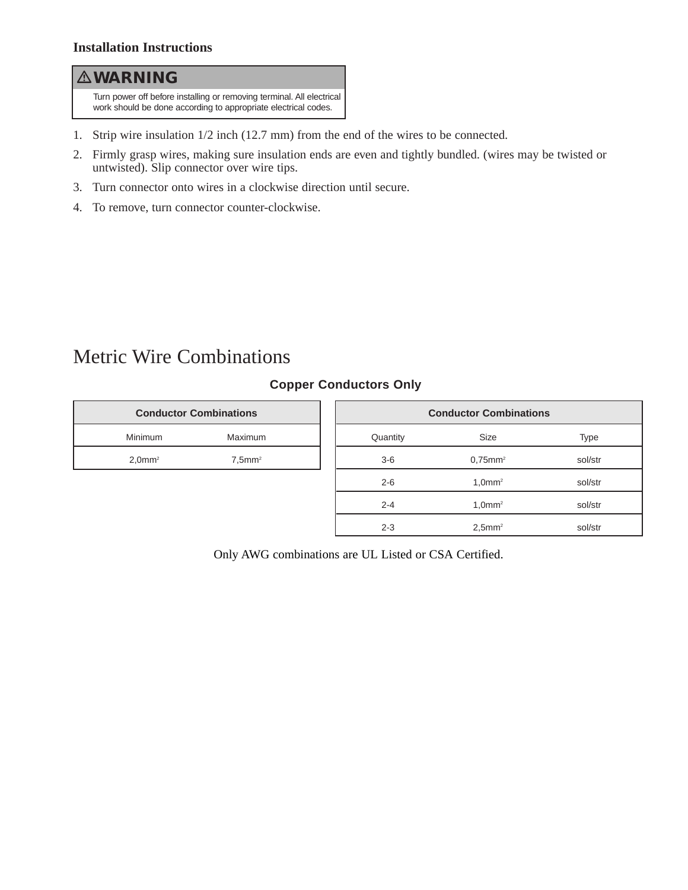#### **WARNING**

Turn power off before installing or removing terminal. All electrical work should be done according to appropriate electrical codes.

- 1. Strip wire insulation 1/2 inch (12.7 mm) from the end of the wires to be connected.
- 2. Firmly grasp wires, making sure insulation ends are even and tightly bundled. (wires may be twisted or untwisted). Slip connector over wire tips.
- 3. Turn connector onto wires in a clockwise direction until secure.
- 4. To remove, turn connector counter-clockwise.

### Metric Wire Combinations

#### **Copper Conductors Only**

| <b>Conductor Combinations</b> |                       |  |  |  |
|-------------------------------|-----------------------|--|--|--|
| Minimum                       | Maximum               |  |  |  |
| $2.0$ mm <sup>2</sup>         | $7.5$ mm <sup>2</sup> |  |  |  |

| <b>Conductor Combinations</b> |                        |             |  |  |  |
|-------------------------------|------------------------|-------------|--|--|--|
| Quantity                      | <b>Size</b>            | <b>Type</b> |  |  |  |
| $3-6$                         | $0.75$ mm <sup>2</sup> | sol/str     |  |  |  |
| $2 - 6$                       | $1.0$ mm <sup>2</sup>  | sol/str     |  |  |  |
| $2 - 4$                       | $1.0$ mm <sup>2</sup>  | sol/str     |  |  |  |
| $2 - 3$                       | $2,5$ mm <sup>2</sup>  | sol/str     |  |  |  |

Only AWG combinations are UL Listed or CSA Certified.